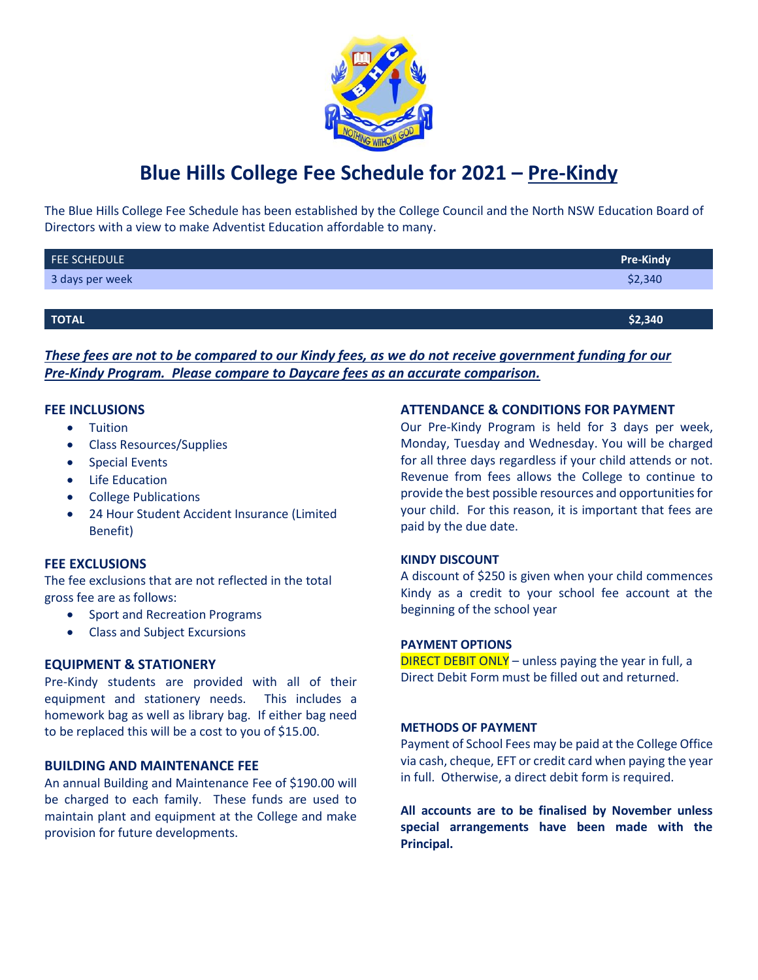

# **Blue Hills College Fee Schedule for 2021 – Pre-Kindy**

The Blue Hills College Fee Schedule has been established by the College Council and the North NSW Education Board of Directors with a view to make Adventist Education affordable to many.

| FEE SCHEDULE    | <b>Pre-Kindy</b> |
|-----------------|------------------|
| 3 days per week | \$2,340          |
|                 |                  |
| TOTAL           | \$2,340          |

*These fees are not to be compared to our Kindy fees, as we do not receive government funding for our Pre-Kindy Program. Please compare to Daycare fees as an accurate comparison.*

### **FEE INCLUSIONS**

- **•** Tuition
- Class Resources/Supplies
- **•** Special Events
- Life Education
- College Publications
- 24 Hour Student Accident Insurance (Limited Benefit)

#### **FEE EXCLUSIONS**

The fee exclusions that are not reflected in the total gross fee are as follows:

- Sport and Recreation Programs
- Class and Subject Excursions

#### **EQUIPMENT & STATIONERY**

Pre-Kindy students are provided with all of their equipment and stationery needs. This includes a homework bag as well as library bag. If either bag need to be replaced this will be a cost to you of \$15.00.

#### **BUILDING AND MAINTENANCE FEE**

An annual Building and Maintenance Fee of \$190.00 will be charged to each family. These funds are used to maintain plant and equipment at the College and make provision for future developments.

#### **ATTENDANCE & CONDITIONS FOR PAYMENT**

Our Pre-Kindy Program is held for 3 days per week, Monday, Tuesday and Wednesday. You will be charged for all three days regardless if your child attends or not. Revenue from fees allows the College to continue to provide the best possible resources and opportunities for your child. For this reason, it is important that fees are paid by the due date.

#### **KINDY DISCOUNT**

A discount of \$250 is given when your child commences Kindy as a credit to your school fee account at the beginning of the school year

#### **PAYMENT OPTIONS**

DIRECT DEBIT ONLY – unless paying the year in full, a Direct Debit Form must be filled out and returned.

#### **METHODS OF PAYMENT**

Payment of School Fees may be paid at the College Office via cash, cheque, EFT or credit card when paying the year in full. Otherwise, a direct debit form is required.

**All accounts are to be finalised by November unless special arrangements have been made with the Principal.**